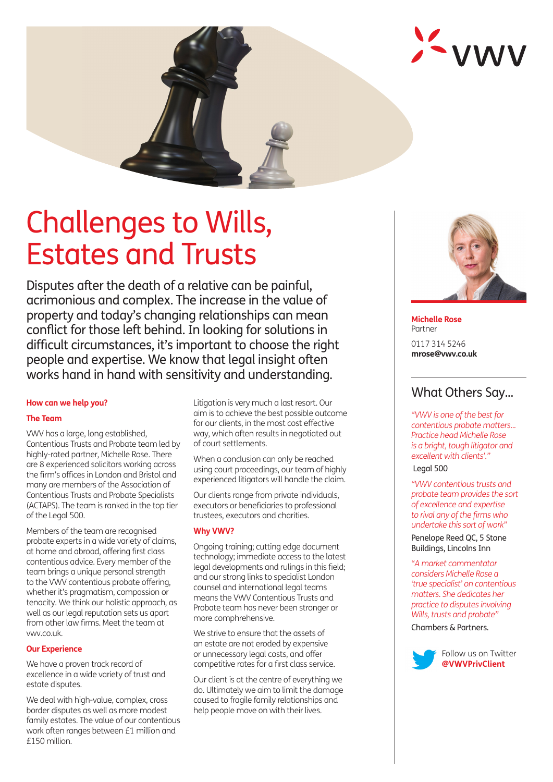

# Challenges to Wills, Estates and Trusts

Disputes after the death of a relative can be painful, acrimonious and complex. The increase in the value of property and today's changing relationships can mean conflict for those left behind. In looking for solutions in difficult circumstances, it's important to choose the right people and expertise. We know that legal insight often works hand in hand with sensitivity and understanding.

#### **How can we help you?**

# **The Team**

VWV has a large, long established, Contentious Trusts and Probate team led by highly-rated partner, Michelle Rose. There are 8 experienced solicitors working across the firm's offices in London and Bristol and many are members of the Association of Contentious Trusts and Probate Specialists (ACTAPS). The team is ranked in the top tier of the Legal 500.

Members of the team are recognised probate experts in a wide variety of claims, at home and abroad, offering first class contentious advice. Every member of the team brings a unique personal strength to the VWV contentious probate offering, whether it's pragmatism, compassion or tenacity. We think our holistic approach, as well as our legal reputation sets us apart from other law firms. Meet the team at vwv.co.uk.

# **Our Experience**

We have a proven track record of excellence in a wide variety of trust and estate disputes.

We deal with high-value, complex, cross border disputes as well as more modest family estates. The value of our contentious work often ranges between £1 million and £150 million.

Litigation is very much a last resort. Our aim is to achieve the best possible outcome for our clients, in the most cost effective way, which often results in negotiated out of court settlements.

When a conclusion can only be reached using court proceedings, our team of highly experienced litigators will handle the claim.

Our clients range from private individuals, executors or beneficiaries to professional trustees, executors and charities.

# **Why VWV?**

Ongoing training; cutting edge document technology; immediate access to the latest legal developments and rulings in this field; and our strong links to specialist London counsel and international legal teams means the VWV Contentious Trusts and Probate team has never been stronger or more comphrehensive.

We strive to ensure that the assets of an estate are not eroded by expensive or unnecessary legal costs, and offer competitive rates for a first class service.

Our client is at the centre of everything we do. Ultimately we aim to limit the damage caused to fragile family relationships and help people move on with their lives.



**Michelle Rose** Partner 0117 314 5246 **mrose@vwv.co.uk**

# What Others Say...

*"VWV is one of the best for contentious probate matters... Practice head Michelle Rose is a bright, tough litigator and excellent with clients'."*

Legal 500

*"VWV contentious trusts and probate team provides the sort of excellence and expertise to rival any of the firms who undertake this sort of work"*

Penelope Reed QC, 5 Stone Buildings, Lincolns Inn

*"A market commentator considers Michelle Rose a 'true specialist' on contentious matters. She dedicates her practice to disputes involving Wills, trusts and probate"* Chambers & Partners.